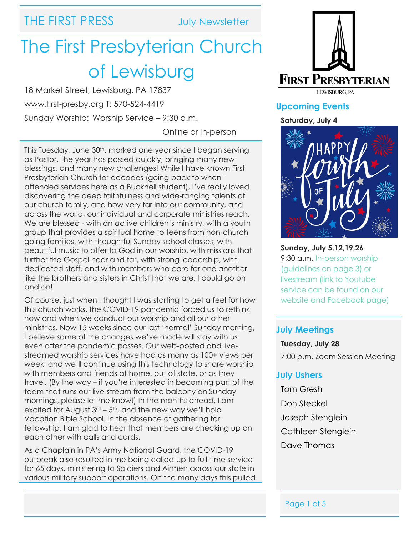## THE FIRST PRESS July Newsletter

# The First Presbyterian Church of Lewisburg

18 Market Street, Lewisburg, PA 17837 www.first-presby.org T: 570-524-4419

Sunday Worship: Worship Service – 9:30 a.m.

Online or In-person

This Tuesday, June 30<sup>th</sup>, marked one year since I began serving as Pastor. The year has passed quickly, bringing many new blessings, and many new challenges! While I have known First Presbyterian Church for decades (going back to when I attended services here as a Bucknell student), I've really loved discovering the deep faithfulness and wide-ranging talents of our church family, and how very far into our community, and across the world, our individual and corporate ministries reach. We are blessed - with an active children's ministry, with a youth group that provides a spiritual home to teens from non-church going families, with thoughtful Sunday school classes, with beautiful music to offer to God in our worship, with missions that further the Gospel near and far, with strong leadership, with dedicated staff, and with members who care for one another like the brothers and sisters in Christ that we are. I could go on and on!

Of course, just when I thought I was starting to get a feel for how this church works, the COVID-19 pandemic forced us to rethink how and when we conduct our worship and all our other ministries. Now 15 weeks since our last 'normal' Sunday morning, I believe some of the changes we've made will stay with us even after the pandemic passes. Our web-posted and livestreamed worship services have had as many as 100+ views per week, and we'll continue using this technology to share worship with members and friends at home, out of state, or as they travel. (By the way – if you're interested in becoming part of the team that runs our live-stream from the balcony on Sunday mornings, please let me know!) In the months ahead, I am excited for August  $3<sup>rd</sup> - 5<sup>th</sup>$ , and the new way we'll hold Vacation Bible School. In the absence of gathering for fellowship, I am glad to hear that members are checking up on each other with calls and cards.

As a Chaplain in PA's Army National Guard, the COVID-19 outbreak also resulted in me being called-up to full-time service for 65 days, ministering to Soldiers and Airmen across our state in various military support operations. On the many days this pulled



### **Upcoming Events**

#### **Saturday, July 4**



**Sunday, July 5,12,19,26** 9:30 a.m. In-person worship (guidelines on page 3) or livestream (link to Youtube service can be found on our website and Facebook page)

#### **July Meetings**

**Tuesday, July 28** 7:00 p.m. Zoom Session Meeting

#### **July Ushers**

Tom Gresh Don Steckel Joseph Stenglein Cathleen Stenglein Dave Thomas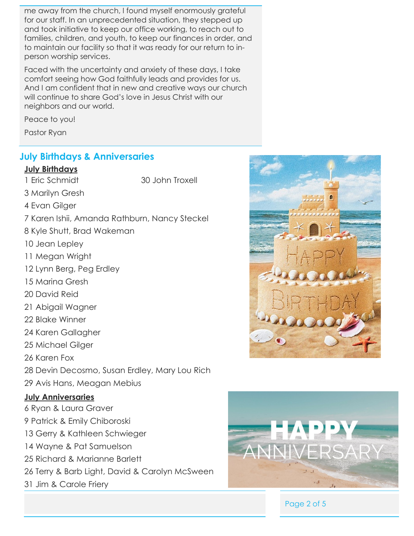me away from the church, I found myself enormously grateful for our staff. In an unprecedented situation, they stepped up and took initiative to keep our office working, to reach out to families, children, and youth, to keep our finances in order, and to maintain our facility so that it was ready for our return to inperson worship services.

Faced with the uncertainty and anxiety of these days, I take comfort seeing how God faithfully leads and provides for us. And I am confident that in new and creative ways our church will continue to share God's love in Jesus Christ with our neighbors and our world.

Peace to you!

Pastor Ryan

#### **July Birthdays & Anniversaries**

#### **July Birthdays**

1 Eric Schmidt 30 John Troxell

- 3 Marilyn Gresh
- 4 Evan Gilger
- 7 Karen Ishii, Amanda Rathburn, Nancy Steckel
- 8 Kyle Shutt, Brad Wakeman
- 10 Jean Lepley
- 11 Megan Wright
- 12 Lynn Berg, Peg Erdley
- 15 Marina Gresh
- 20 David Reid
- 21 Abigail Wagner
- 22 Blake Winner
- 24 Karen Gallagher
- 25 Michael Gilger
- 26 Karen Fox
- 28 Devin Decosmo, Susan Erdley, Mary Lou Rich
- 29 Avis Hans, Meagan Mebius

#### **July Anniversaries**

- 6 Ryan & Laura Graver
- 9 Patrick & Emily Chiboroski
- 13 Gerry & Kathleen Schwieger
- 14 Wayne & Pat Samuelson
- 25 Richard & Marianne Barlett
- 26 Terry & Barb Light, David & Carolyn McSween
- 31 Jim & Carole Friery





Page 2 of 5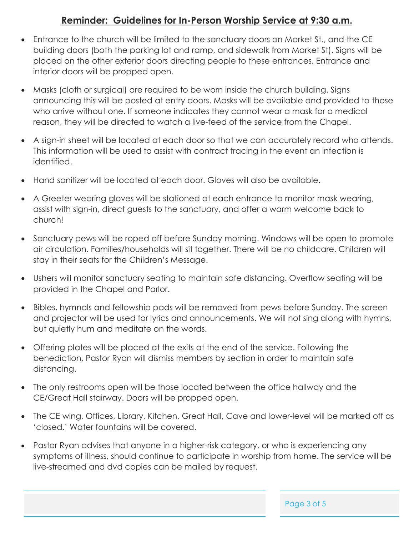### **Reminder: Guidelines for In-Person Worship Service at 9:30 a.m.**

- Entrance to the church will be limited to the sanctuary doors on Market St., and the CE building doors (both the parking lot and ramp, and sidewalk from Market St). Signs will be placed on the other exterior doors directing people to these entrances. Entrance and interior doors will be propped open.
- Masks (cloth or surgical) are required to be worn inside the church building. Signs announcing this will be posted at entry doors. Masks will be available and provided to those who arrive without one. If someone indicates they cannot wear a mask for a medical reason, they will be directed to watch a live-feed of the service from the Chapel.
- A sign-in sheet will be located at each door so that we can accurately record who attends. This information will be used to assist with contract tracing in the event an infection is identified.
- Hand sanitizer will be located at each door. Gloves will also be available.
- A Greeter wearing gloves will be stationed at each entrance to monitor mask wearing, assist with sign-in, direct guests to the sanctuary, and offer a warm welcome back to church!
- Sanctuary pews will be roped off before Sunday morning. Windows will be open to promote air circulation. Families/households will sit together. There will be no childcare. Children will stay in their seats for the Children's Message.
- Ushers will monitor sanctuary seating to maintain safe distancing. Overflow seating will be provided in the Chapel and Parlor.
- Bibles, hymnals and fellowship pads will be removed from pews before Sunday. The screen and projector will be used for lyrics and announcements. We will not sing along with hymns, but quietly hum and meditate on the words.
- Offering plates will be placed at the exits at the end of the service. Following the benediction, Pastor Ryan will dismiss members by section in order to maintain safe distancing.
- The only restrooms open will be those located between the office hallway and the CE/Great Hall stairway. Doors will be propped open.
- The CE wing, Offices, Library, Kitchen, Great Hall, Cave and lower-level will be marked off as 'closed.' Water fountains will be covered.
- Pastor Ryan advises that anyone in a higher-risk category, or who is experiencing any symptoms of illness, should continue to participate in worship from home. The service will be live-streamed and dvd copies can be mailed by request.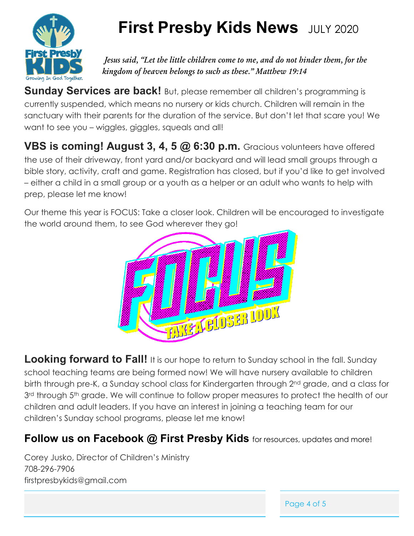

## **First Presby Kids News** JULY 2020

*Jesus said, "Let the little children come to me, and do not hinder them, for the kingdom of heaven belongs to such as these." Matthew 19:14*

**Sunday Services are back!** But, please remember all children's programming is currently suspended, which means no nursery or kids church. Children will remain in the sanctuary with their parents for the duration of the service. But don't let that scare you! We want to see you – wiggles, giggles, squeals and all!

**VBS is coming! August 3, 4, 5 @ 6:30 p.m.** Gracious volunteers have offered the use of their driveway, front yard and/or backyard and will lead small groups through a bible story, activity, craft and game. Registration has closed, but if you'd like to get involved – either a child in a small group or a youth as a helper or an adult who wants to help with prep, please let me know!

Our theme this year is FOCUS: Take a closer look. Children will be encouraged to investigate the world around them, to see God wherever they go!



**Looking forward to Fall!** It is our hope to return to Sunday school in the fall. Sunday school teaching teams are being formed now! We will have nursery available to children birth through pre-K, a Sunday school class for Kindergarten through 2nd grade, and a class for 3<sup>rd</sup> through 5<sup>th</sup> grade. We will continue to follow proper measures to protect the health of our children and adult leaders. If you have an interest in joining a teaching team for our children's Sunday school programs, please let me know!

## **Follow us on Facebook @ First Presby Kids** for resources, updates and more!

Corey Jusko, Director of Children's Ministry 708-296-7906 firstpresbykids@gmail.com

Page 4 of 5